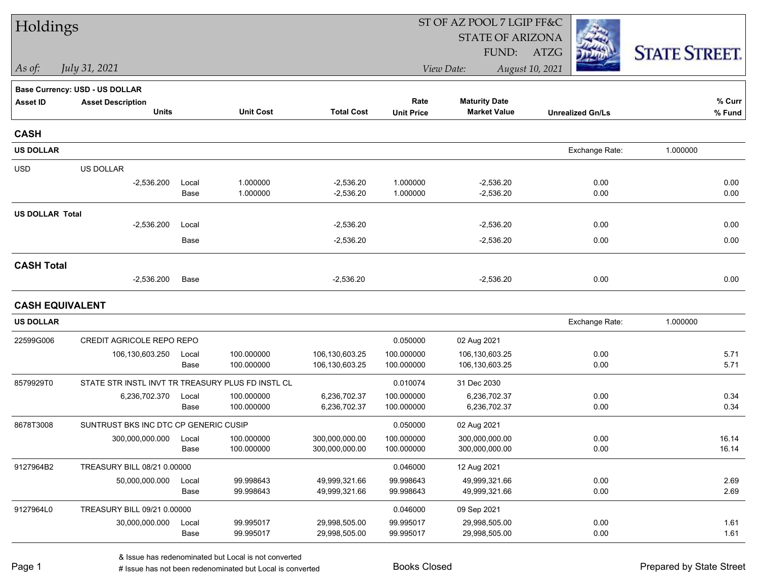| Holdings               |                                                   |               |                          |                                | ST OF AZ POOL 7 LGIP FF&C |                                             |                         |                      |
|------------------------|---------------------------------------------------|---------------|--------------------------|--------------------------------|---------------------------|---------------------------------------------|-------------------------|----------------------|
|                        |                                                   |               |                          |                                |                           | <b>STATE OF ARIZONA</b>                     |                         |                      |
|                        |                                                   |               |                          |                                |                           | FUND:                                       | ATZG                    | <b>STATE STREET.</b> |
| As of:                 | July 31, 2021                                     |               |                          |                                |                           | View Date:                                  | August 10, 2021         |                      |
|                        | Base Currency: USD - US DOLLAR                    |               |                          |                                |                           |                                             |                         |                      |
| <b>Asset ID</b>        | <b>Asset Description</b><br><b>Units</b>          |               | <b>Unit Cost</b>         | <b>Total Cost</b>              | Rate<br><b>Unit Price</b> | <b>Maturity Date</b><br><b>Market Value</b> | <b>Unrealized Gn/Ls</b> | % Curr<br>% Fund     |
| <b>CASH</b>            |                                                   |               |                          |                                |                           |                                             |                         |                      |
| <b>US DOLLAR</b>       |                                                   |               |                          |                                |                           |                                             | Exchange Rate:          | 1.000000             |
| <b>USD</b>             | US DOLLAR                                         |               |                          |                                |                           |                                             |                         |                      |
|                        | $-2,536.200$                                      | Local<br>Base | 1.000000<br>1.000000     | $-2,536.20$<br>$-2,536.20$     | 1.000000<br>1.000000      | $-2,536.20$<br>$-2,536.20$                  | 0.00<br>0.00            | 0.00<br>0.00         |
| <b>US DOLLAR Total</b> |                                                   |               |                          |                                |                           |                                             |                         |                      |
|                        | $-2,536.200$                                      | Local         |                          | $-2,536.20$                    |                           | $-2,536.20$                                 | 0.00                    | 0.00                 |
|                        |                                                   | Base          |                          | $-2,536.20$                    |                           | $-2,536.20$                                 | 0.00                    | 0.00                 |
| <b>CASH Total</b>      |                                                   |               |                          |                                |                           |                                             |                         |                      |
|                        | $-2,536.200$                                      | Base          |                          | $-2,536.20$                    |                           | $-2,536.20$                                 | 0.00                    | 0.00                 |
|                        | <b>CASH EQUIVALENT</b>                            |               |                          |                                |                           |                                             |                         |                      |
| <b>US DOLLAR</b>       |                                                   |               |                          |                                |                           |                                             | Exchange Rate:          | 1.000000             |
| 22599G006              | CREDIT AGRICOLE REPO REPO                         |               |                          |                                | 0.050000                  | 02 Aug 2021                                 |                         |                      |
|                        | 106,130,603.250                                   | Local         | 100.000000               | 106,130,603.25                 | 100.000000                | 106,130,603.25                              | 0.00                    | 5.71                 |
|                        |                                                   | Base          | 100.000000               | 106,130,603.25                 | 100.000000                | 106,130,603.25                              | 0.00                    | 5.71                 |
| 8579929T0              | STATE STR INSTL INVT TR TREASURY PLUS FD INSTL CL |               |                          |                                | 0.010074                  | 31 Dec 2030                                 |                         |                      |
|                        | 6,236,702.370                                     | Local<br>Base | 100.000000<br>100.000000 | 6,236,702.37<br>6,236,702.37   | 100.000000<br>100.000000  | 6,236,702.37<br>6,236,702.37                | 0.00<br>0.00            | 0.34<br>0.34         |
| 8678T3008              | SUNTRUST BKS INC DTC CP GENERIC CUSIP             |               |                          |                                | 0.050000                  | 02 Aug 2021                                 |                         |                      |
|                        | 300,000,000.000                                   | Local         | 100.000000               | 300,000,000.00                 | 100.000000                | 300,000,000.00                              | 0.00                    | 16.14                |
|                        |                                                   | Base          | 100.000000               | 300,000,000.00                 | 100.000000                | 300,000,000.00                              | 0.00                    | 16.14                |
| 9127964B2              | TREASURY BILL 08/21 0.00000                       |               |                          |                                | 0.046000                  | 12 Aug 2021                                 |                         |                      |
|                        | 50,000,000.000                                    | Local         | 99.998643                | 49,999,321.66                  | 99.998643                 | 49,999,321.66                               | 0.00                    | 2.69                 |
|                        |                                                   | Base          | 99.998643                | 49,999,321.66                  | 99.998643                 | 49,999,321.66                               | 0.00                    | 2.69                 |
| 9127964L0              | TREASURY BILL 09/21 0.00000                       |               |                          |                                | 0.046000                  | 09 Sep 2021                                 |                         |                      |
|                        | 30,000,000.000                                    | Local<br>Base | 99.995017<br>99.995017   | 29,998,505.00<br>29,998,505.00 | 99.995017<br>99.995017    | 29,998,505.00<br>29,998,505.00              | 0.00<br>0.00            | 1.61<br>1.61         |
|                        |                                                   |               |                          |                                |                           |                                             |                         |                      |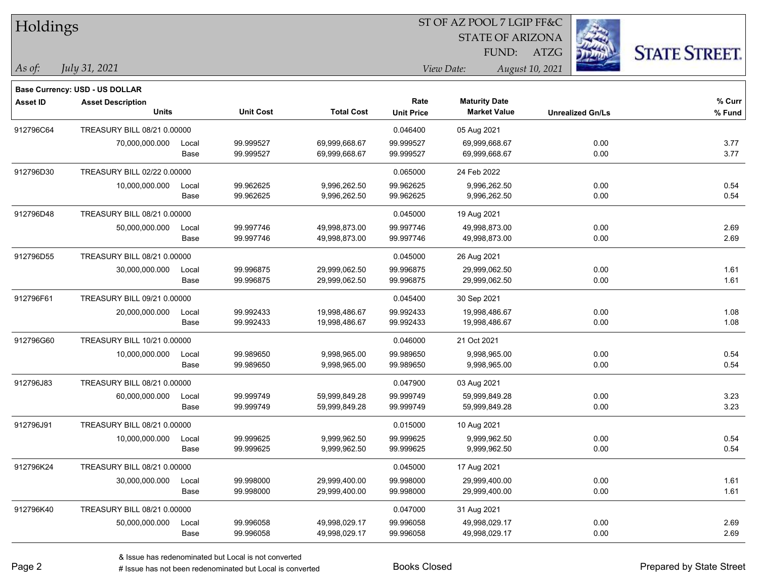| Holdings        |                                                            |       |                  |                   |                   |                         |                         |                      |
|-----------------|------------------------------------------------------------|-------|------------------|-------------------|-------------------|-------------------------|-------------------------|----------------------|
|                 |                                                            |       |                  |                   |                   | <b>STATE OF ARIZONA</b> |                         |                      |
|                 |                                                            |       |                  |                   |                   | FUND:                   | ATZG                    | <b>STATE STREET.</b> |
| As of:          | July 31, 2021                                              |       |                  |                   |                   | View Date:              | August 10, 2021         |                      |
|                 |                                                            |       |                  |                   |                   |                         |                         |                      |
| <b>Asset ID</b> | Base Currency: USD - US DOLLAR<br><b>Asset Description</b> |       |                  |                   | Rate              | <b>Maturity Date</b>    |                         | % Curr               |
|                 | <b>Units</b>                                               |       | <b>Unit Cost</b> | <b>Total Cost</b> | <b>Unit Price</b> | <b>Market Value</b>     | <b>Unrealized Gn/Ls</b> | % Fund               |
| 912796C64       | TREASURY BILL 08/21 0.00000                                |       |                  |                   | 0.046400          | 05 Aug 2021             |                         |                      |
|                 | 70,000,000.000                                             | Local | 99.999527        | 69,999,668.67     | 99.999527         | 69,999,668.67           | 0.00                    | 3.77                 |
|                 |                                                            | Base  | 99.999527        | 69,999,668.67     | 99.999527         | 69,999,668.67           | 0.00                    | 3.77                 |
| 912796D30       | TREASURY BILL 02/22 0.00000                                |       |                  |                   | 0.065000          | 24 Feb 2022             |                         |                      |
|                 | 10,000,000.000                                             | Local | 99.962625        | 9,996,262.50      | 99.962625         | 9,996,262.50            | 0.00                    | 0.54                 |
|                 |                                                            | Base  | 99.962625        | 9,996,262.50      | 99.962625         | 9,996,262.50            | 0.00                    | 0.54                 |
| 912796D48       | TREASURY BILL 08/21 0.00000                                |       |                  |                   | 0.045000          | 19 Aug 2021             |                         |                      |
|                 | 50,000,000.000                                             | Local | 99.997746        | 49,998,873.00     | 99.997746         | 49,998,873.00           | 0.00                    | 2.69                 |
|                 |                                                            | Base  | 99.997746        | 49,998,873.00     | 99.997746         | 49,998,873.00           | 0.00                    | 2.69                 |
| 912796D55       | TREASURY BILL 08/21 0.00000                                |       |                  |                   | 0.045000          | 26 Aug 2021             |                         |                      |
|                 | 30,000,000.000                                             | Local | 99.996875        | 29,999,062.50     | 99.996875         | 29,999,062.50           | 0.00                    | 1.61                 |
|                 |                                                            | Base  | 99.996875        | 29,999,062.50     | 99.996875         | 29,999,062.50           | 0.00                    | 1.61                 |
| 912796F61       | TREASURY BILL 09/21 0.00000                                |       |                  |                   | 0.045400          | 30 Sep 2021             |                         |                      |
|                 | 20,000,000.000                                             | Local | 99.992433        | 19,998,486.67     | 99.992433         | 19,998,486.67           | 0.00                    | 1.08                 |
|                 |                                                            | Base  | 99.992433        | 19,998,486.67     | 99.992433         | 19,998,486.67           | 0.00                    | 1.08                 |
| 912796G60       | TREASURY BILL 10/21 0.00000                                |       |                  |                   | 0.046000          | 21 Oct 2021             |                         |                      |
|                 | 10,000,000.000                                             | Local | 99.989650        | 9,998,965.00      | 99.989650         | 9,998,965.00            | 0.00                    | 0.54                 |
|                 |                                                            | Base  | 99.989650        | 9,998,965.00      | 99.989650         | 9,998,965.00            | 0.00                    | 0.54                 |
| 912796J83       | TREASURY BILL 08/21 0.00000                                |       |                  |                   | 0.047900          | 03 Aug 2021             |                         |                      |
|                 | 60,000,000.000                                             | Local | 99.999749        | 59,999,849.28     | 99.999749         | 59,999,849.28           | 0.00                    | 3.23                 |
|                 |                                                            | Base  | 99.999749        | 59,999,849.28     | 99.999749         | 59,999,849.28           | 0.00                    | 3.23                 |
| 912796J91       | TREASURY BILL 08/21 0.00000                                |       |                  |                   | 0.015000          | 10 Aug 2021             |                         |                      |
|                 | 10,000,000.000                                             | Local | 99.999625        | 9,999,962.50      | 99.999625         | 9,999,962.50            | 0.00                    | 0.54                 |
|                 |                                                            | Base  | 99.999625        | 9,999,962.50      | 99.999625         | 9,999,962.50            | 0.00                    | 0.54                 |
| 912796K24       | TREASURY BILL 08/21 0.00000                                |       |                  |                   | 0.045000          | 17 Aug 2021             |                         |                      |
|                 | 30,000,000.000                                             | Local | 99.998000        | 29,999,400.00     | 99.998000         | 29,999,400.00           | 0.00                    | 1.61                 |
|                 |                                                            | Base  | 99.998000        | 29,999,400.00     | 99.998000         | 29,999,400.00           | 0.00                    | 1.61                 |
| 912796K40       | TREASURY BILL 08/21 0.00000                                |       |                  |                   | 0.047000          | 31 Aug 2021             |                         |                      |
|                 | 50,000,000.000                                             | Local | 99.996058        | 49,998,029.17     | 99.996058         | 49,998,029.17           | 0.00                    | 2.69                 |
|                 |                                                            | Base  | 99.996058        | 49,998,029.17     | 99.996058         | 49,998,029.17           | 0.00                    | 2.69                 |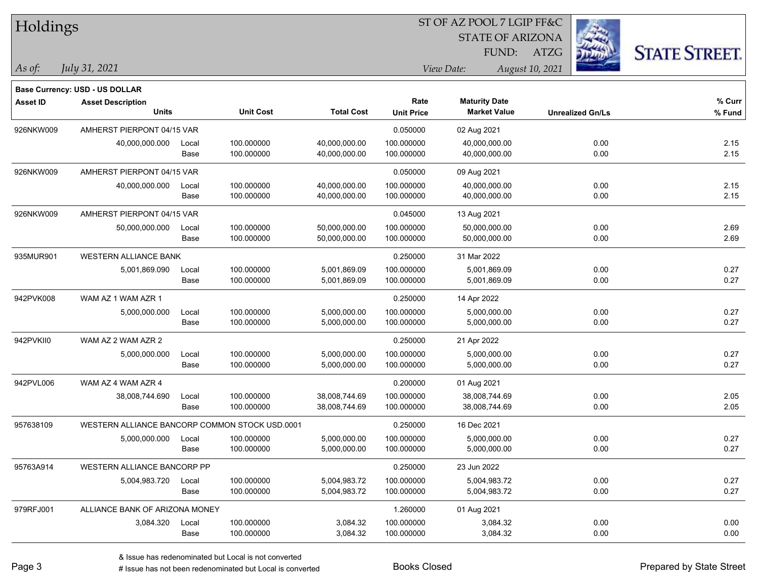| Holdings        |                                                |       |                  |                   |                           | ST OF AZ POOL 7 LGIP FF&C                   |                         |                      |
|-----------------|------------------------------------------------|-------|------------------|-------------------|---------------------------|---------------------------------------------|-------------------------|----------------------|
|                 |                                                |       |                  |                   |                           | <b>STATE OF ARIZONA</b>                     |                         |                      |
|                 |                                                |       |                  |                   |                           | FUND:                                       | ATZG                    | <b>STATE STREET.</b> |
| As of:          | July 31, 2021                                  |       |                  |                   |                           | View Date:                                  | August 10, 2021         |                      |
|                 |                                                |       |                  |                   |                           |                                             |                         |                      |
|                 | Base Currency: USD - US DOLLAR                 |       |                  |                   |                           |                                             |                         | $%$ Curr             |
| <b>Asset ID</b> | <b>Asset Description</b><br><b>Units</b>       |       | <b>Unit Cost</b> | <b>Total Cost</b> | Rate<br><b>Unit Price</b> | <b>Maturity Date</b><br><b>Market Value</b> | <b>Unrealized Gn/Ls</b> | % Fund               |
| 926NKW009       | AMHERST PIERPONT 04/15 VAR                     |       |                  |                   | 0.050000                  | 02 Aug 2021                                 |                         |                      |
|                 | 40,000,000.000                                 | Local | 100.000000       | 40,000,000.00     | 100.000000                | 40,000,000.00                               | 0.00                    | 2.15                 |
|                 |                                                | Base  | 100.000000       | 40,000,000.00     | 100.000000                | 40,000,000.00                               | 0.00                    | 2.15                 |
| 926NKW009       | AMHERST PIERPONT 04/15 VAR                     |       |                  |                   | 0.050000                  | 09 Aug 2021                                 |                         |                      |
|                 | 40,000,000.000                                 | Local | 100.000000       | 40,000,000.00     | 100.000000                | 40,000,000.00                               | 0.00                    | 2.15                 |
|                 |                                                | Base  | 100.000000       | 40,000,000.00     | 100.000000                | 40,000,000.00                               | 0.00                    | 2.15                 |
| 926NKW009       | AMHERST PIERPONT 04/15 VAR                     |       |                  |                   | 0.045000                  | 13 Aug 2021                                 |                         |                      |
|                 | 50,000,000.000                                 | Local | 100.000000       | 50,000,000.00     | 100.000000                | 50,000,000.00                               | 0.00                    | 2.69                 |
|                 |                                                | Base  | 100.000000       | 50,000,000.00     | 100.000000                | 50,000,000.00                               | 0.00                    | 2.69                 |
| 935MUR901       | <b>WESTERN ALLIANCE BANK</b>                   |       |                  |                   | 0.250000                  | 31 Mar 2022                                 |                         |                      |
|                 | 5,001,869.090                                  | Local | 100.000000       | 5,001,869.09      | 100.000000                | 5,001,869.09                                | 0.00                    | 0.27                 |
|                 |                                                | Base  | 100.000000       | 5,001,869.09      | 100.000000                | 5,001,869.09                                | 0.00                    | 0.27                 |
| 942PVK008       | WAM AZ 1 WAM AZR 1                             |       |                  |                   | 0.250000                  | 14 Apr 2022                                 |                         |                      |
|                 | 5,000,000.000                                  | Local | 100.000000       | 5,000,000.00      | 100.000000                | 5,000,000.00                                | 0.00                    | 0.27                 |
|                 |                                                | Base  | 100.000000       | 5,000,000.00      | 100.000000                | 5,000,000.00                                | 0.00                    | 0.27                 |
| 942PVKII0       | WAM AZ 2 WAM AZR 2                             |       |                  |                   | 0.250000                  | 21 Apr 2022                                 |                         |                      |
|                 | 5,000,000.000                                  | Local | 100.000000       | 5,000,000.00      | 100.000000                | 5,000,000.00                                | 0.00                    | 0.27                 |
|                 |                                                | Base  | 100.000000       | 5,000,000.00      | 100.000000                | 5,000,000.00                                | 0.00                    | 0.27                 |
| 942PVL006       | WAM AZ 4 WAM AZR 4                             |       |                  |                   | 0.200000                  | 01 Aug 2021                                 |                         |                      |
|                 | 38,008,744.690                                 | Local | 100.000000       | 38,008,744.69     | 100.000000                | 38,008,744.69                               | 0.00                    | 2.05                 |
|                 |                                                | Base  | 100.000000       | 38,008,744.69     | 100.000000                | 38,008,744.69                               | 0.00                    | 2.05                 |
| 957638109       | WESTERN ALLIANCE BANCORP COMMON STOCK USD.0001 |       |                  |                   | 0.250000                  | 16 Dec 2021                                 |                         |                      |
|                 | 5,000,000.000                                  | Local | 100.000000       | 5,000,000.00      | 100.000000                | 5,000,000.00                                | 0.00                    | 0.27                 |
|                 |                                                | Base  | 100.000000       | 5,000,000.00      | 100.000000                | 5,000,000.00                                | 0.00                    | 0.27                 |
| 95763A914       | WESTERN ALLIANCE BANCORP PP                    |       |                  |                   | 0.250000                  | 23 Jun 2022                                 |                         |                      |
|                 | 5,004,983.720                                  | Local | 100.000000       | 5,004,983.72      | 100.000000                | 5,004,983.72                                | 0.00                    | 0.27                 |
|                 |                                                | Base  | 100.000000       | 5,004,983.72      | 100.000000                | 5,004,983.72                                | 0.00                    | 0.27                 |
| 979RFJ001       | ALLIANCE BANK OF ARIZONA MONEY                 |       |                  |                   | 1.260000                  | 01 Aug 2021                                 |                         |                      |
|                 | 3,084.320                                      | Local | 100.000000       | 3,084.32          | 100.000000                | 3,084.32                                    | 0.00                    | 0.00                 |
|                 |                                                | Base  | 100.000000       | 3,084.32          | 100.000000                | 3,084.32                                    | 0.00                    | 0.00                 |

ST OF AZ POOL 7 LGIP FF&C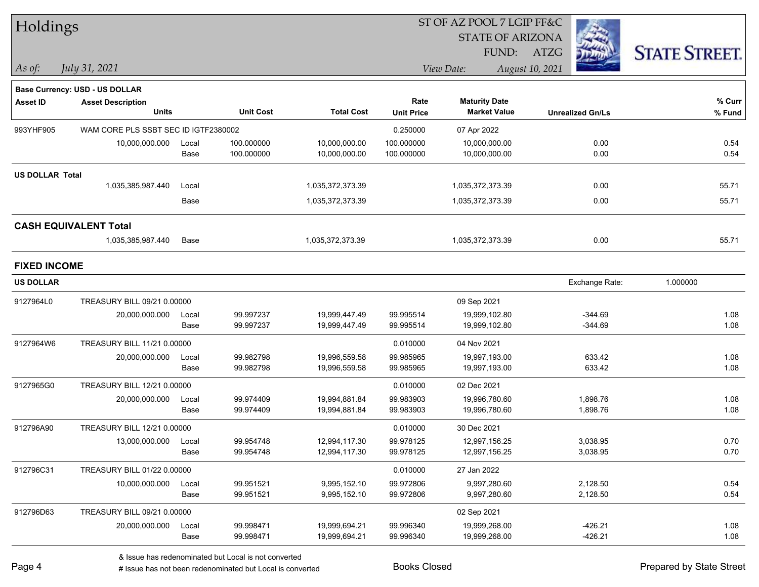| Holdings               |                                      |       |                  |                   |                   | ST OF AZ POOL 7 LGIP FF&C |                         |                      |  |
|------------------------|--------------------------------------|-------|------------------|-------------------|-------------------|---------------------------|-------------------------|----------------------|--|
|                        |                                      |       |                  |                   |                   | <b>STATE OF ARIZONA</b>   |                         |                      |  |
|                        |                                      |       |                  |                   |                   | FUND: ATZG                |                         | <b>STATE STREET.</b> |  |
| $\vert$ As of:         | July 31, 2021                        |       |                  |                   |                   | View Date:                | August 10, 2021         |                      |  |
|                        | Base Currency: USD - US DOLLAR       |       |                  |                   |                   |                           |                         |                      |  |
| <b>Asset ID</b>        | <b>Asset Description</b>             |       |                  |                   | Rate              | <b>Maturity Date</b>      |                         | $%$ Curr             |  |
|                        | Units                                |       | <b>Unit Cost</b> | <b>Total Cost</b> | <b>Unit Price</b> | <b>Market Value</b>       | <b>Unrealized Gn/Ls</b> | % Fund               |  |
| 993YHF905              | WAM CORE PLS SSBT SEC ID IGTF2380002 |       |                  |                   | 0.250000          | 07 Apr 2022               |                         |                      |  |
|                        | 10,000,000.000                       | Local | 100.000000       | 10,000,000.00     | 100.000000        | 10,000,000.00             | 0.00                    | 0.54                 |  |
|                        |                                      | Base  | 100.000000       | 10,000,000.00     | 100.000000        | 10,000,000.00             | 0.00                    | 0.54                 |  |
| <b>US DOLLAR Total</b> |                                      |       |                  |                   |                   |                           |                         |                      |  |
|                        | 1,035,385,987.440                    | Local |                  | 1,035,372,373.39  |                   | 1,035,372,373.39          | 0.00                    | 55.71                |  |
|                        |                                      | Base  |                  | 1,035,372,373.39  |                   | 1,035,372,373.39          | 0.00                    | 55.71                |  |
|                        | <b>CASH EQUIVALENT Total</b>         |       |                  |                   |                   |                           |                         |                      |  |
|                        | 1,035,385,987.440                    | Base  |                  | 1,035,372,373.39  |                   | 1,035,372,373.39          | 0.00                    | 55.71                |  |
| <b>FIXED INCOME</b>    |                                      |       |                  |                   |                   |                           |                         |                      |  |
| <b>US DOLLAR</b>       |                                      |       |                  |                   |                   |                           | Exchange Rate:          | 1.000000             |  |
| 9127964L0              | TREASURY BILL 09/21 0.00000          |       |                  |                   |                   | 09 Sep 2021               |                         |                      |  |
|                        | 20,000,000.000                       | Local | 99.997237        | 19,999,447.49     | 99.995514         | 19,999,102.80             | $-344.69$               | 1.08                 |  |
|                        |                                      | Base  | 99.997237        | 19,999,447.49     | 99.995514         | 19,999,102.80             | $-344.69$               | 1.08                 |  |
| 9127964W6              | TREASURY BILL 11/21 0.00000          |       |                  |                   | 0.010000          | 04 Nov 2021               |                         |                      |  |
|                        | 20,000,000.000                       | Local | 99.982798        | 19,996,559.58     | 99.985965         | 19,997,193.00             | 633.42                  | 1.08                 |  |
|                        |                                      | Base  | 99.982798        | 19,996,559.58     | 99.985965         | 19,997,193.00             | 633.42                  | 1.08                 |  |
| 9127965G0              | TREASURY BILL 12/21 0.00000          |       |                  |                   | 0.010000          | 02 Dec 2021               |                         |                      |  |
|                        | 20,000,000.000                       | Local | 99.974409        | 19,994,881.84     | 99.983903         | 19,996,780.60             | 1,898.76                | 1.08                 |  |
|                        |                                      | Base  | 99.974409        | 19,994,881.84     | 99.983903         | 19,996,780.60             | 1,898.76                | 1.08                 |  |
| 912796A90              | TREASURY BILL 12/21 0.00000          |       |                  |                   | 0.010000          | 30 Dec 2021               |                         |                      |  |
|                        | 13,000,000.000                       | Local | 99.954748        | 12,994,117.30     | 99.978125         | 12,997,156.25             | 3,038.95                | 0.70                 |  |
|                        |                                      | Base  | 99.954748        | 12,994,117.30     | 99.978125         | 12,997,156.25             | 3,038.95                | 0.70                 |  |
| 912796C31              | TREASURY BILL 01/22 0.00000          |       |                  |                   | 0.010000          | 27 Jan 2022               |                         |                      |  |
|                        | 10,000,000.000                       | Local | 99.951521        | 9,995,152.10      | 99.972806         | 9,997,280.60              | 2,128.50                | 0.54                 |  |
|                        |                                      | Base  | 99.951521        | 9,995,152.10      | 99.972806         | 9,997,280.60              | 2,128.50                | 0.54                 |  |
| 912796D63              | TREASURY BILL 09/21 0.00000          |       |                  |                   |                   | 02 Sep 2021               |                         |                      |  |
|                        | 20,000,000.000                       | Local | 99.998471        | 19,999,694.21     | 99.996340         | 19,999,268.00             | $-426.21$               | 1.08                 |  |
|                        |                                      | Base  | 99.998471        | 19,999,694.21     | 99.996340         | 19,999,268.00             | $-426.21$               | 1.08                 |  |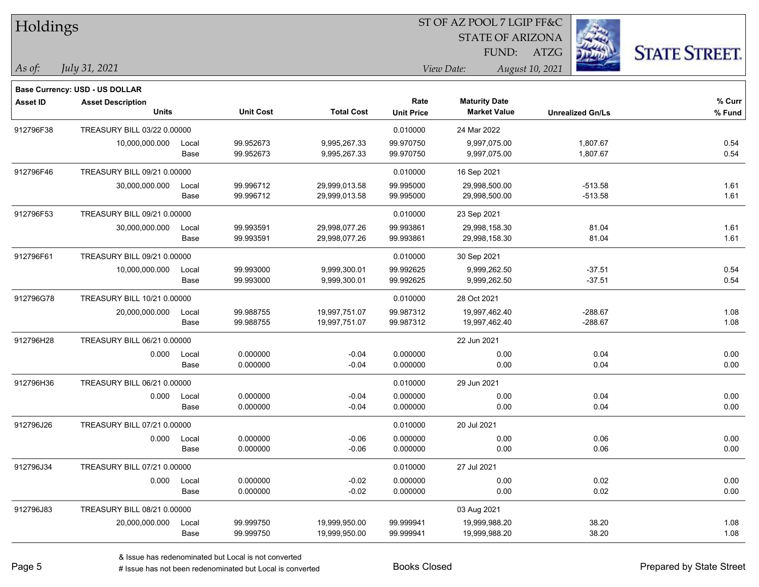| Holdings        |                                |       |                  |                   |                   |                         |                 |                         |                      |
|-----------------|--------------------------------|-------|------------------|-------------------|-------------------|-------------------------|-----------------|-------------------------|----------------------|
|                 |                                |       |                  |                   |                   | <b>STATE OF ARIZONA</b> |                 |                         |                      |
|                 |                                |       |                  |                   |                   | FUND:                   | <b>ATZG</b>     |                         | <b>STATE STREET.</b> |
| As of:          | July 31, 2021                  |       |                  |                   |                   | View Date:              | August 10, 2021 |                         |                      |
|                 | Base Currency: USD - US DOLLAR |       |                  |                   |                   |                         |                 |                         |                      |
| <b>Asset ID</b> | <b>Asset Description</b>       |       |                  |                   | Rate              | <b>Maturity Date</b>    |                 |                         | % Curr               |
|                 | <b>Units</b>                   |       | <b>Unit Cost</b> | <b>Total Cost</b> | <b>Unit Price</b> | <b>Market Value</b>     |                 | <b>Unrealized Gn/Ls</b> | % Fund               |
| 912796F38       | TREASURY BILL 03/22 0.00000    |       |                  |                   | 0.010000          | 24 Mar 2022             |                 |                         |                      |
|                 | 10,000,000.000                 | Local | 99.952673        | 9,995,267.33      | 99.970750         | 9,997,075.00            |                 | 1,807.67                | 0.54                 |
|                 |                                | Base  | 99.952673        | 9,995,267.33      | 99.970750         | 9,997,075.00            |                 | 1,807.67                | 0.54                 |
| 912796F46       | TREASURY BILL 09/21 0.00000    |       |                  |                   | 0.010000          | 16 Sep 2021             |                 |                         |                      |
|                 | 30,000,000.000                 | Local | 99.996712        | 29,999,013.58     | 99.995000         | 29,998,500.00           |                 | $-513.58$               | 1.61                 |
|                 |                                | Base  | 99.996712        | 29,999,013.58     | 99.995000         | 29,998,500.00           |                 | $-513.58$               | 1.61                 |
| 912796F53       | TREASURY BILL 09/21 0.00000    |       |                  |                   | 0.010000          | 23 Sep 2021             |                 |                         |                      |
|                 | 30,000,000.000                 | Local | 99.993591        | 29,998,077.26     | 99.993861         | 29,998,158.30           |                 | 81.04                   | 1.61                 |
|                 |                                | Base  | 99.993591        | 29,998,077.26     | 99.993861         | 29,998,158.30           |                 | 81.04                   | 1.61                 |
| 912796F61       | TREASURY BILL 09/21 0.00000    |       |                  |                   | 0.010000          | 30 Sep 2021             |                 |                         |                      |
|                 | 10,000,000.000                 | Local | 99.993000        | 9,999,300.01      | 99.992625         | 9,999,262.50            |                 | $-37.51$                | 0.54                 |
|                 |                                | Base  | 99.993000        | 9,999,300.01      | 99.992625         | 9,999,262.50            |                 | $-37.51$                | 0.54                 |
| 912796G78       | TREASURY BILL 10/21 0.00000    |       |                  |                   | 0.010000          | 28 Oct 2021             |                 |                         |                      |
|                 | 20,000,000.000                 | Local | 99.988755        | 19,997,751.07     | 99.987312         | 19,997,462.40           |                 | $-288.67$               | 1.08                 |
|                 |                                | Base  | 99.988755        | 19,997,751.07     | 99.987312         | 19,997,462.40           |                 | $-288.67$               | 1.08                 |
| 912796H28       | TREASURY BILL 06/21 0.00000    |       |                  |                   |                   | 22 Jun 2021             |                 |                         |                      |
|                 | 0.000                          | Local | 0.000000         | $-0.04$           | 0.000000          | 0.00                    |                 | 0.04                    | 0.00                 |
|                 |                                | Base  | 0.000000         | $-0.04$           | 0.000000          | 0.00                    |                 | 0.04                    | 0.00                 |
| 912796H36       | TREASURY BILL 06/21 0.00000    |       |                  |                   | 0.010000          | 29 Jun 2021             |                 |                         |                      |
|                 | 0.000                          | Local | 0.000000         | $-0.04$           | 0.000000          | 0.00                    |                 | 0.04                    | 0.00                 |
|                 |                                | Base  | 0.000000         | $-0.04$           | 0.000000          | 0.00                    |                 | 0.04                    | 0.00                 |
| 912796J26       | TREASURY BILL 07/21 0.00000    |       |                  |                   | 0.010000          | 20 Jul 2021             |                 |                         |                      |
|                 | 0.000                          | Local | 0.000000         | $-0.06$           | 0.000000          | 0.00                    |                 | 0.06                    | 0.00                 |
|                 |                                | Base  | 0.000000         | $-0.06$           | 0.000000          | 0.00                    |                 | 0.06                    | 0.00                 |
| 912796J34       | TREASURY BILL 07/21 0.00000    |       |                  |                   | 0.010000          | 27 Jul 2021             |                 |                         |                      |
|                 | 0.000                          | Local | 0.000000         | $-0.02$           | 0.000000          | 0.00                    |                 | 0.02                    | 0.00                 |
|                 |                                | Base  | 0.000000         | $-0.02$           | 0.000000          | 0.00                    |                 | 0.02                    | 0.00                 |
| 912796J83       | TREASURY BILL 08/21 0.00000    |       |                  |                   |                   | 03 Aug 2021             |                 |                         |                      |
|                 | 20,000,000.000                 | Local | 99.999750        | 19,999,950.00     | 99.999941         | 19,999,988.20           |                 | 38.20                   | 1.08                 |
|                 |                                | Base  | 99.999750        | 19,999,950.00     | 99.999941         | 19,999,988.20           |                 | 38.20                   | 1.08                 |

ST OF AZ POOL 7 LGIP FF&C

 $\mathbf{H}$   $\mathbf{H}$   $\mathbf{H}$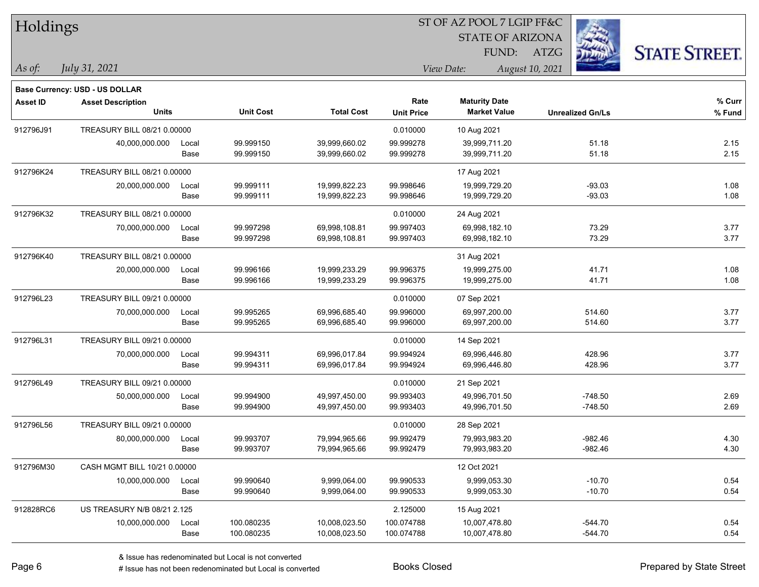| Holdings        |                                       |       |                  |                   |                   | ST OF AZ POOL 7 LGIP FF&C |                         |                      |
|-----------------|---------------------------------------|-------|------------------|-------------------|-------------------|---------------------------|-------------------------|----------------------|
|                 |                                       |       |                  |                   |                   | <b>STATE OF ARIZONA</b>   |                         |                      |
|                 |                                       |       |                  |                   |                   | FUND:                     | ATZG                    | <b>STATE STREET.</b> |
| $\vert$ As of:  | July 31, 2021                         |       |                  |                   |                   | View Date:                | August 10, 2021         |                      |
|                 | <b>Base Currency: USD - US DOLLAR</b> |       |                  |                   |                   |                           |                         |                      |
| <b>Asset ID</b> | <b>Asset Description</b>              |       |                  |                   | Rate              | <b>Maturity Date</b>      |                         | % Curr               |
|                 | <b>Units</b>                          |       | <b>Unit Cost</b> | <b>Total Cost</b> | <b>Unit Price</b> | <b>Market Value</b>       | <b>Unrealized Gn/Ls</b> | % Fund               |
| 912796J91       | TREASURY BILL 08/21 0.00000           |       |                  |                   | 0.010000          | 10 Aug 2021               |                         |                      |
|                 | 40,000,000.000                        | Local | 99.999150        | 39,999,660.02     | 99.999278         | 39,999,711.20             | 51.18                   | 2.15                 |
|                 |                                       | Base  | 99.999150        | 39,999,660.02     | 99.999278         | 39,999,711.20             | 51.18                   | 2.15                 |
| 912796K24       | TREASURY BILL 08/21 0.00000           |       |                  |                   |                   | 17 Aug 2021               |                         |                      |
|                 | 20,000,000.000                        | Local | 99.999111        | 19,999,822.23     | 99.998646         | 19,999,729.20             | $-93.03$                | 1.08                 |
|                 |                                       | Base  | 99.999111        | 19,999,822.23     | 99.998646         | 19,999,729.20             | $-93.03$                | 1.08                 |
| 912796K32       | TREASURY BILL 08/21 0.00000           |       |                  |                   | 0.010000          | 24 Aug 2021               |                         |                      |
|                 | 70,000,000.000                        | Local | 99.997298        | 69,998,108.81     | 99.997403         | 69,998,182.10             | 73.29                   | 3.77                 |
|                 |                                       | Base  | 99.997298        | 69,998,108.81     | 99.997403         | 69,998,182.10             | 73.29                   | 3.77                 |
| 912796K40       | TREASURY BILL 08/21 0.00000           |       |                  |                   |                   | 31 Aug 2021               |                         |                      |
|                 | 20,000,000.000                        | Local | 99.996166        | 19,999,233.29     | 99.996375         | 19,999,275.00             | 41.71                   | 1.08                 |
|                 |                                       | Base  | 99.996166        | 19,999,233.29     | 99.996375         | 19,999,275.00             | 41.71                   | 1.08                 |
| 912796L23       | TREASURY BILL 09/21 0.00000           |       |                  |                   | 0.010000          | 07 Sep 2021               |                         |                      |
|                 | 70,000,000.000                        | Local | 99.995265        | 69,996,685.40     | 99.996000         | 69,997,200.00             | 514.60                  | 3.77                 |
|                 |                                       | Base  | 99.995265        | 69,996,685.40     | 99.996000         | 69,997,200.00             | 514.60                  | 3.77                 |
| 912796L31       | TREASURY BILL 09/21 0.00000           |       |                  |                   | 0.010000          | 14 Sep 2021               |                         |                      |
|                 | 70,000,000.000                        | Local | 99.994311        | 69,996,017.84     | 99.994924         | 69,996,446.80             | 428.96                  | 3.77                 |
|                 |                                       | Base  | 99.994311        | 69,996,017.84     | 99.994924         | 69,996,446.80             | 428.96                  | 3.77                 |
| 912796L49       | TREASURY BILL 09/21 0.00000           |       |                  |                   | 0.010000          | 21 Sep 2021               |                         |                      |
|                 | 50,000,000.000                        | Local | 99.994900        | 49,997,450.00     | 99.993403         | 49,996,701.50             | $-748.50$               | 2.69                 |
|                 |                                       | Base  | 99.994900        | 49,997,450.00     | 99.993403         | 49,996,701.50             | $-748.50$               | 2.69                 |
| 912796L56       | TREASURY BILL 09/21 0.00000           |       |                  |                   | 0.010000          | 28 Sep 2021               |                         |                      |
|                 | 80,000,000.000                        | Local | 99.993707        | 79,994,965.66     | 99.992479         | 79,993,983.20             | $-982.46$               | 4.30                 |
|                 |                                       | Base  | 99.993707        | 79,994,965.66     | 99.992479         | 79,993,983.20             | $-982.46$               | 4.30                 |
| 912796M30       | CASH MGMT BILL 10/21 0.00000          |       |                  |                   |                   | 12 Oct 2021               |                         |                      |
|                 | 10,000,000.000                        | Local | 99.990640        | 9,999,064.00      | 99.990533         | 9,999,053.30              | $-10.70$                | 0.54                 |
|                 |                                       | Base  | 99.990640        | 9,999,064.00      | 99.990533         | 9,999,053.30              | $-10.70$                | 0.54                 |
| 912828RC6       | US TREASURY N/B 08/21 2.125           |       |                  |                   | 2.125000          | 15 Aug 2021               |                         |                      |
|                 | 10,000,000.000                        | Local | 100.080235       | 10,008,023.50     | 100.074788        | 10,007,478.80             | $-544.70$               | 0.54                 |
|                 |                                       | Base  | 100.080235       | 10,008,023.50     | 100.074788        | 10,007,478.80             | $-544.70$               | 0.54                 |

# Issue has not been redenominated but Local is converted Books Closed Prepared by State Street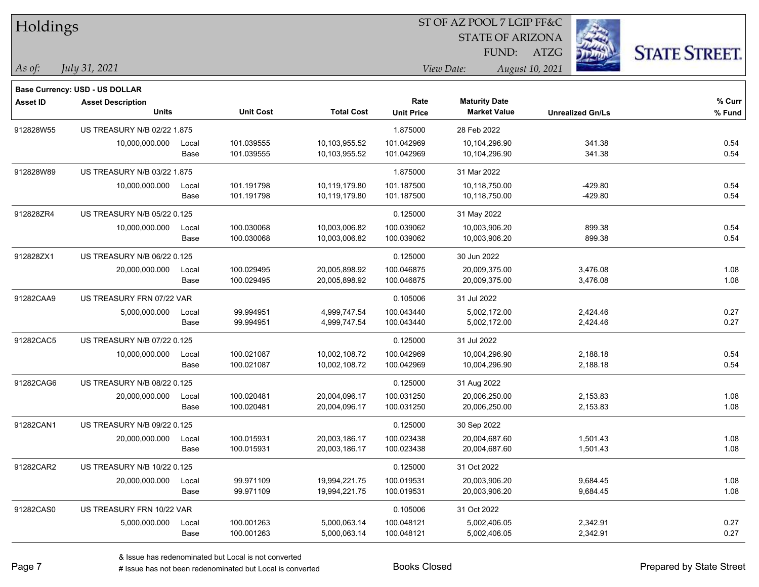| Holdings        |                                    |       |                  |                   | ST OF AZ POOL 7 LGIP FF&C |                         |                 |                         |                      |  |
|-----------------|------------------------------------|-------|------------------|-------------------|---------------------------|-------------------------|-----------------|-------------------------|----------------------|--|
|                 |                                    |       |                  |                   |                           | <b>STATE OF ARIZONA</b> |                 |                         |                      |  |
|                 |                                    |       |                  |                   |                           | FUND:                   | ATZG            |                         | <b>STATE STREET.</b> |  |
| As of:          | July 31, 2021                      |       |                  |                   |                           | View Date:              | August 10, 2021 |                         |                      |  |
|                 | Base Currency: USD - US DOLLAR     |       |                  |                   |                           |                         |                 |                         |                      |  |
| <b>Asset ID</b> | <b>Asset Description</b>           |       |                  |                   | Rate                      | <b>Maturity Date</b>    |                 |                         | % Curr               |  |
|                 | <b>Units</b>                       |       | <b>Unit Cost</b> | <b>Total Cost</b> | <b>Unit Price</b>         | <b>Market Value</b>     |                 | <b>Unrealized Gn/Ls</b> | % Fund               |  |
| 912828W55       | US TREASURY N/B 02/22 1.875        |       |                  |                   | 1.875000                  | 28 Feb 2022             |                 |                         |                      |  |
|                 | 10,000,000.000                     | Local | 101.039555       | 10,103,955.52     | 101.042969                | 10,104,296.90           |                 | 341.38                  | 0.54                 |  |
|                 |                                    | Base  | 101.039555       | 10,103,955.52     | 101.042969                | 10,104,296.90           |                 | 341.38                  | 0.54                 |  |
| 912828W89       | US TREASURY N/B 03/22 1.875        |       |                  |                   | 1.875000                  | 31 Mar 2022             |                 |                         |                      |  |
|                 | 10,000,000.000                     | Local | 101.191798       | 10,119,179.80     | 101.187500                | 10,118,750.00           |                 | $-429.80$               | 0.54                 |  |
|                 |                                    | Base  | 101.191798       | 10,119,179.80     | 101.187500                | 10,118,750.00           |                 | $-429.80$               | 0.54                 |  |
| 912828ZR4       | <b>US TREASURY N/B 05/22 0.125</b> |       |                  |                   | 0.125000                  | 31 May 2022             |                 |                         |                      |  |
|                 | 10,000,000.000                     | Local | 100.030068       | 10,003,006.82     | 100.039062                | 10,003,906.20           |                 | 899.38                  | 0.54                 |  |
|                 |                                    | Base  | 100.030068       | 10,003,006.82     | 100.039062                | 10,003,906.20           |                 | 899.38                  | 0.54                 |  |
| 912828ZX1       | US TREASURY N/B 06/22 0.125        |       |                  |                   | 0.125000                  | 30 Jun 2022             |                 |                         |                      |  |
|                 | 20,000,000.000                     | Local | 100.029495       | 20,005,898.92     | 100.046875                | 20,009,375.00           |                 | 3,476.08                | 1.08                 |  |
|                 |                                    | Base  | 100.029495       | 20,005,898.92     | 100.046875                | 20,009,375.00           |                 | 3,476.08                | 1.08                 |  |
| 91282CAA9       | US TREASURY FRN 07/22 VAR          |       |                  |                   | 0.105006                  | 31 Jul 2022             |                 |                         |                      |  |
|                 | 5,000,000.000                      | Local | 99.994951        | 4,999,747.54      | 100.043440                | 5,002,172.00            |                 | 2,424.46                | 0.27                 |  |
|                 |                                    | Base  | 99.994951        | 4,999,747.54      | 100.043440                | 5,002,172.00            |                 | 2,424.46                | 0.27                 |  |
| 91282CAC5       | US TREASURY N/B 07/22 0.125        |       |                  |                   | 0.125000                  | 31 Jul 2022             |                 |                         |                      |  |
|                 | 10,000,000.000                     | Local | 100.021087       | 10,002,108.72     | 100.042969                | 10,004,296.90           |                 | 2,188.18                | 0.54                 |  |
|                 |                                    | Base  | 100.021087       | 10,002,108.72     | 100.042969                | 10,004,296.90           |                 | 2,188.18                | 0.54                 |  |
| 91282CAG6       | US TREASURY N/B 08/22 0.125        |       |                  |                   | 0.125000                  | 31 Aug 2022             |                 |                         |                      |  |
|                 | 20,000,000.000                     | Local | 100.020481       | 20,004,096.17     | 100.031250                | 20,006,250.00           |                 | 2,153.83                | 1.08                 |  |
|                 |                                    | Base  | 100.020481       | 20,004,096.17     | 100.031250                | 20,006,250.00           |                 | 2,153.83                | 1.08                 |  |
| 91282CAN1       | US TREASURY N/B 09/22 0.125        |       |                  |                   | 0.125000                  | 30 Sep 2022             |                 |                         |                      |  |
|                 | 20,000,000.000                     | Local | 100.015931       | 20,003,186.17     | 100.023438                | 20,004,687.60           |                 | 1,501.43                | 1.08                 |  |
|                 |                                    | Base  | 100.015931       | 20,003,186.17     | 100.023438                | 20,004,687.60           |                 | 1,501.43                | 1.08                 |  |
| 91282CAR2       | US TREASURY N/B 10/22 0.125        |       |                  |                   | 0.125000                  | 31 Oct 2022             |                 |                         |                      |  |
|                 | 20,000,000.000                     | Local | 99.971109        | 19,994,221.75     | 100.019531                | 20,003,906.20           |                 | 9,684.45                | 1.08                 |  |
|                 |                                    | Base  | 99.971109        | 19,994,221.75     | 100.019531                | 20,003,906.20           |                 | 9,684.45                | 1.08                 |  |
| 91282CAS0       | US TREASURY FRN 10/22 VAR          |       |                  |                   | 0.105006                  | 31 Oct 2022             |                 |                         |                      |  |
|                 | 5,000,000.000                      | Local | 100.001263       | 5,000,063.14      | 100.048121                | 5,002,406.05            |                 | 2,342.91                | 0.27                 |  |
|                 |                                    | Base  | 100.001263       | 5,000,063.14      | 100.048121                | 5,002,406.05            |                 | 2,342.91                | 0.27                 |  |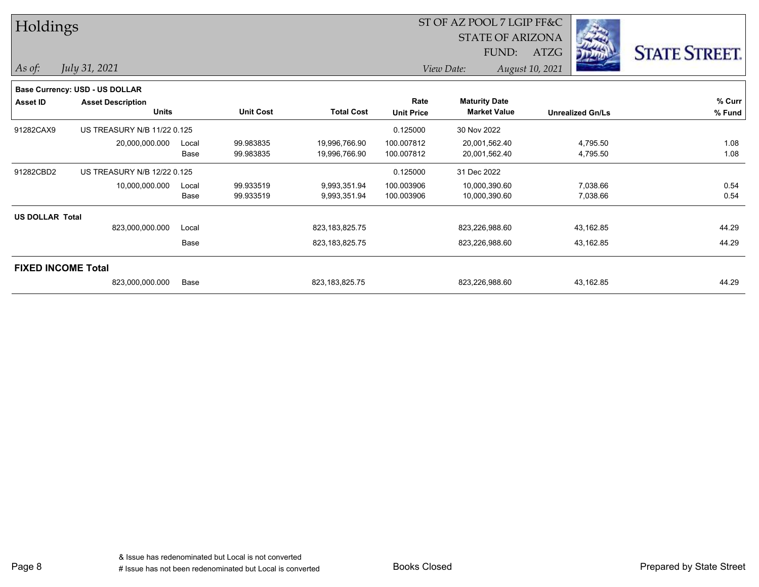| Holdings               |                                          |               |                        |                                |                           | ST OF AZ POOL 7 LGIP FF&C                   |                         |                      |
|------------------------|------------------------------------------|---------------|------------------------|--------------------------------|---------------------------|---------------------------------------------|-------------------------|----------------------|
|                        |                                          |               |                        |                                |                           | <b>STATE OF ARIZONA</b><br>FUND:            | <b>DELLET</b><br>ATZG   | <b>STATE STREET.</b> |
| $\vert$ As of:         | July 31, 2021                            |               |                        |                                |                           | View Date:                                  | August 10, 2021         |                      |
|                        | <b>Base Currency: USD - US DOLLAR</b>    |               |                        |                                |                           |                                             |                         |                      |
| <b>Asset ID</b>        | <b>Asset Description</b><br><b>Units</b> |               | <b>Unit Cost</b>       | <b>Total Cost</b>              | Rate<br><b>Unit Price</b> | <b>Maturity Date</b><br><b>Market Value</b> | <b>Unrealized Gn/Ls</b> | % Curr<br>% Fund     |
| 91282CAX9              | US TREASURY N/B 11/22 0.125              |               |                        |                                | 0.125000                  | 30 Nov 2022                                 |                         |                      |
|                        | 20,000,000.000                           | Local<br>Base | 99.983835<br>99.983835 | 19,996,766.90<br>19,996,766.90 | 100.007812<br>100.007812  | 20,001,562.40<br>20,001,562.40              | 4,795.50<br>4,795.50    | 1.08<br>1.08         |
| 91282CBD2              | US TREASURY N/B 12/22 0.125              |               |                        |                                | 0.125000                  | 31 Dec 2022                                 |                         |                      |
|                        | 10,000,000.000                           | Local<br>Base | 99.933519<br>99.933519 | 9,993,351.94<br>9,993,351.94   | 100.003906<br>100.003906  | 10,000,390.60<br>10,000,390.60              | 7,038.66<br>7,038.66    | 0.54<br>0.54         |
| <b>US DOLLAR Total</b> |                                          |               |                        |                                |                           |                                             |                         |                      |
|                        | 823,000,000.000                          | Local         |                        | 823,183,825.75                 |                           | 823,226,988.60                              | 43,162.85               | 44.29                |
|                        |                                          | Base          |                        | 823,183,825.75                 |                           | 823,226,988.60                              | 43,162.85               | 44.29                |
|                        | <b>FIXED INCOME Total</b>                |               |                        |                                |                           |                                             |                         |                      |
|                        | 823,000,000.000                          | Base          |                        | 823, 183, 825. 75              |                           | 823,226,988.60                              | 43,162.85               | 44.29                |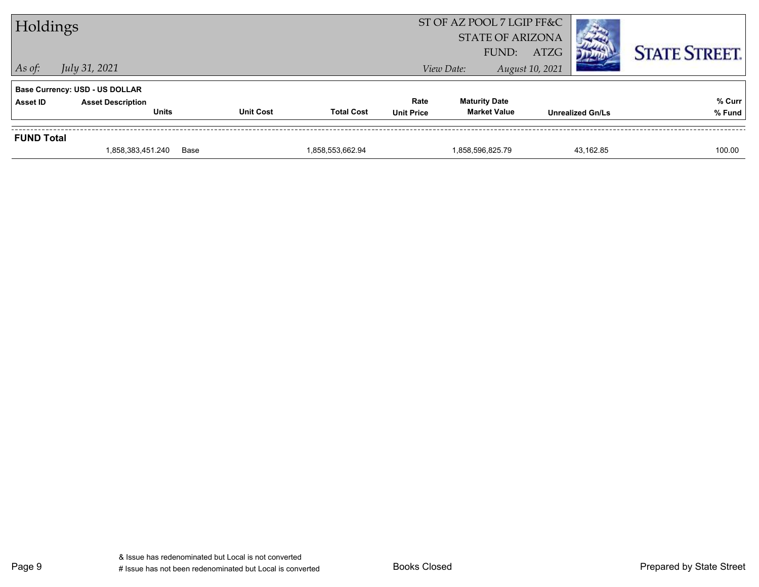| Holdings          |                                          |                  |                   | ST OF AZ POOL 7 LGIP FF&C<br><b>STATE OF ARIZONA</b><br>FUND: | ATZG                                        |                 | <b>STATE STREET.</b>    |                  |
|-------------------|------------------------------------------|------------------|-------------------|---------------------------------------------------------------|---------------------------------------------|-----------------|-------------------------|------------------|
| $\vert$ As of:    | July 31, 2021                            |                  |                   |                                                               | View Date:                                  | August 10, 2021 |                         |                  |
|                   | Base Currency: USD - US DOLLAR           |                  |                   |                                                               |                                             |                 |                         |                  |
| Asset ID          | <b>Asset Description</b><br><b>Units</b> | <b>Unit Cost</b> | <b>Total Cost</b> | Rate<br><b>Unit Price</b>                                     | <b>Maturity Date</b><br><b>Market Value</b> |                 | <b>Unrealized Gn/Ls</b> | % Curr<br>% Fund |
|                   |                                          |                  |                   |                                                               |                                             |                 |                         |                  |
| <b>FUND Total</b> |                                          |                  |                   |                                                               |                                             |                 |                         |                  |
|                   | 1,858,383,451.240                        | Base             | 1,858,553,662.94  |                                                               | 1,858,596,825.79                            |                 | 43.162.85               | 100.00           |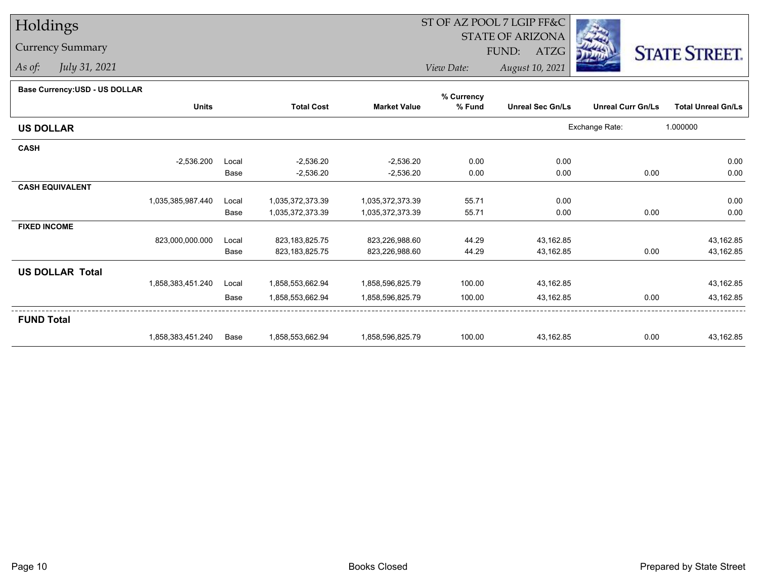## Holdings

## Currency Summary

*As of: July 31, 2021*

## ST OF AZ POOL 7 LGIP FF&C

STATE OF ARIZONA

FUND: ATZG



*View Date:August 10, 2021*

| Base Currency: USD - US DOLLAR |  |
|--------------------------------|--|
|--------------------------------|--|

| Dase Currency: USD - US DULLAR |                   |       |                   |                     | % Currency |                         |                          |                           |
|--------------------------------|-------------------|-------|-------------------|---------------------|------------|-------------------------|--------------------------|---------------------------|
|                                | <b>Units</b>      |       | <b>Total Cost</b> | <b>Market Value</b> | % Fund     | <b>Unreal Sec Gn/Ls</b> | <b>Unreal Curr Gn/Ls</b> | <b>Total Unreal Gn/Ls</b> |
| <b>US DOLLAR</b>               |                   |       |                   |                     |            |                         | Exchange Rate:           | 1.000000                  |
| <b>CASH</b>                    |                   |       |                   |                     |            |                         |                          |                           |
|                                | $-2,536.200$      | Local | $-2,536.20$       | $-2,536.20$         | 0.00       | 0.00                    |                          | 0.00                      |
|                                |                   | Base  | $-2,536.20$       | $-2,536.20$         | 0.00       | 0.00                    | 0.00                     | 0.00                      |
| <b>CASH EQUIVALENT</b>         |                   |       |                   |                     |            |                         |                          |                           |
|                                | 1,035,385,987.440 | Local | 1,035,372,373.39  | 1,035,372,373.39    | 55.71      | 0.00                    |                          | 0.00                      |
|                                |                   | Base  | 1,035,372,373.39  | 1,035,372,373.39    | 55.71      | 0.00                    | 0.00                     | 0.00                      |
| <b>FIXED INCOME</b>            |                   |       |                   |                     |            |                         |                          |                           |
|                                | 823,000,000.000   | Local | 823, 183, 825. 75 | 823,226,988.60      | 44.29      | 43,162.85               |                          | 43,162.85                 |
|                                |                   | Base  | 823, 183, 825. 75 | 823,226,988.60      | 44.29      | 43,162.85               | 0.00                     | 43,162.85                 |
| <b>US DOLLAR Total</b>         |                   |       |                   |                     |            |                         |                          |                           |
|                                | 1,858,383,451.240 | Local | 1,858,553,662.94  | 1,858,596,825.79    | 100.00     | 43,162.85               |                          | 43,162.85                 |
|                                |                   | Base  | 1,858,553,662.94  | 1,858,596,825.79    | 100.00     | 43,162.85               | 0.00                     | 43,162.85                 |
| <b>FUND Total</b>              |                   |       |                   |                     |            |                         |                          |                           |
|                                | 1,858,383,451.240 | Base  | 1,858,553,662.94  | 1,858,596,825.79    | 100.00     | 43,162.85               | 0.00                     | 43,162.85                 |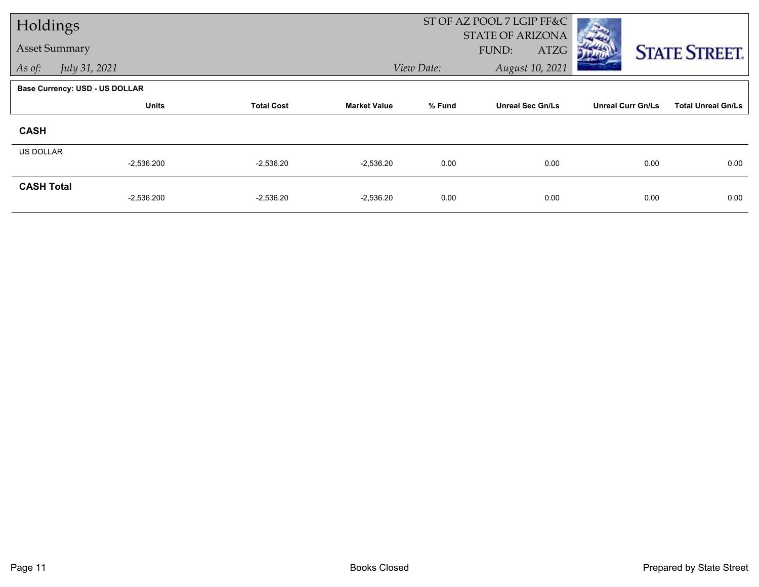| Holdings             |                                       |                   |                     |            | ST OF AZ POOL 7 LGIP FF&C<br>STATE OF ARIZONA |                          |                           |
|----------------------|---------------------------------------|-------------------|---------------------|------------|-----------------------------------------------|--------------------------|---------------------------|
| <b>Asset Summary</b> |                                       |                   |                     |            | FUND:<br>ATZG                                 |                          | <b>STATE STREET.</b>      |
| As of:               | July 31, 2021                         |                   |                     | View Date: | August 10, 2021                               |                          |                           |
|                      | <b>Base Currency: USD - US DOLLAR</b> |                   |                     |            |                                               |                          |                           |
|                      | <b>Units</b>                          | <b>Total Cost</b> | <b>Market Value</b> | % Fund     | <b>Unreal Sec Gn/Ls</b>                       | <b>Unreal Curr Gn/Ls</b> | <b>Total Unreal Gn/Ls</b> |
| <b>CASH</b>          |                                       |                   |                     |            |                                               |                          |                           |
| <b>US DOLLAR</b>     |                                       |                   |                     |            |                                               |                          |                           |
|                      | $-2,536.200$                          | $-2,536.20$       | $-2,536.20$         | 0.00       | 0.00                                          | 0.00                     | 0.00                      |
| <b>CASH Total</b>    | $-2,536.200$                          | $-2,536.20$       | $-2,536.20$         | 0.00       | 0.00                                          | 0.00                     | 0.00                      |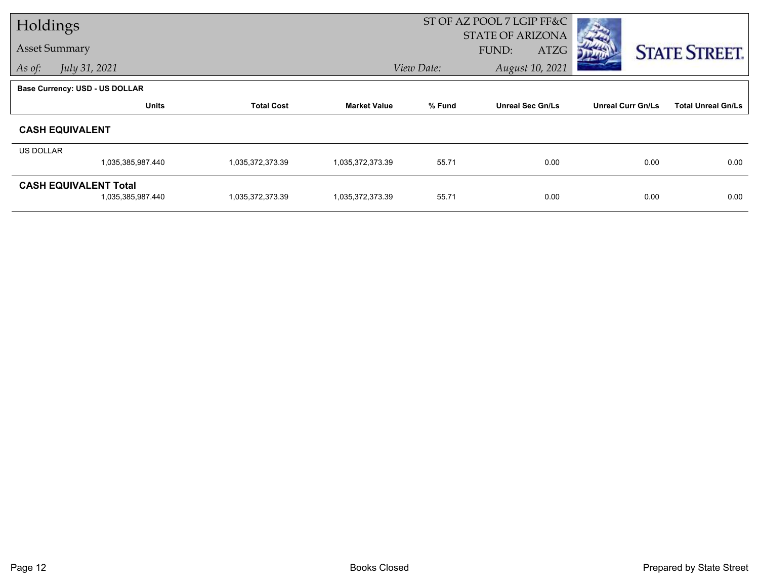| Holdings  |                                       |                   |                     | ST OF AZ POOL 7 LGIP FF&C |                                          |                          |                           |
|-----------|---------------------------------------|-------------------|---------------------|---------------------------|------------------------------------------|--------------------------|---------------------------|
|           | <b>Asset Summary</b>                  |                   |                     |                           | <b>STATE OF ARIZONA</b><br>FUND:<br>ATZG |                          | <b>STATE STREET.</b>      |
| As of:    | July 31, 2021                         |                   |                     | View Date:                | August 10, 2021                          |                          |                           |
|           | <b>Base Currency: USD - US DOLLAR</b> |                   |                     |                           |                                          |                          |                           |
|           | <b>Units</b>                          | <b>Total Cost</b> | <b>Market Value</b> | % Fund                    | <b>Unreal Sec Gn/Ls</b>                  | <b>Unreal Curr Gn/Ls</b> | <b>Total Unreal Gn/Ls</b> |
|           | <b>CASH EQUIVALENT</b>                |                   |                     |                           |                                          |                          |                           |
| US DOLLAR |                                       |                   |                     |                           |                                          |                          |                           |
|           | 1,035,385,987.440                     | 1,035,372,373.39  | 1,035,372,373.39    | 55.71                     | 0.00                                     | 0.00                     | 0.00                      |
|           | <b>CASH EQUIVALENT Total</b>          |                   |                     |                           |                                          |                          |                           |
|           | 1,035,385,987.440                     | 1,035,372,373.39  | 1,035,372,373.39    | 55.71                     | 0.00                                     | 0.00                     | 0.00                      |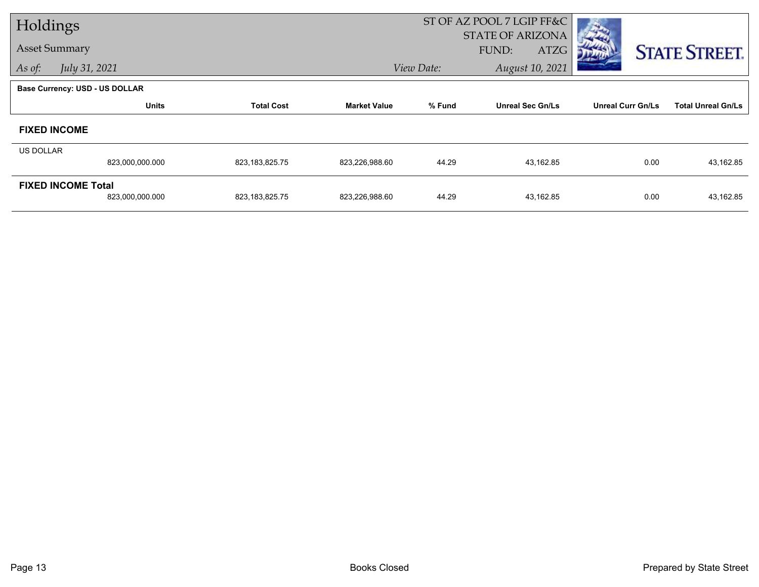| Holdings  |                                       |                   |                     | ST OF AZ POOL 7 LGIP FF&C |                         |                          |                           |
|-----------|---------------------------------------|-------------------|---------------------|---------------------------|-------------------------|--------------------------|---------------------------|
|           |                                       |                   |                     |                           | <b>STATE OF ARIZONA</b> |                          |                           |
|           | <b>Asset Summary</b>                  |                   |                     |                           | FUND:<br>ATZG           |                          | <b>STATE STREET.</b>      |
| As of:    | July 31, 2021                         |                   |                     | View Date:                | August 10, 2021         |                          |                           |
|           | <b>Base Currency: USD - US DOLLAR</b> |                   |                     |                           |                         |                          |                           |
|           | <b>Units</b>                          | <b>Total Cost</b> | <b>Market Value</b> | % Fund                    | <b>Unreal Sec Gn/Ls</b> | <b>Unreal Curr Gn/Ls</b> | <b>Total Unreal Gn/Ls</b> |
|           | <b>FIXED INCOME</b>                   |                   |                     |                           |                         |                          |                           |
| US DOLLAR |                                       |                   |                     |                           |                         |                          |                           |
|           | 823,000,000.000                       | 823,183,825.75    | 823,226,988.60      | 44.29                     | 43,162.85               | 0.00                     | 43,162.85                 |
|           | <b>FIXED INCOME Total</b>             |                   |                     |                           |                         |                          |                           |
|           | 823,000,000.000                       | 823,183,825.75    | 823,226,988.60      | 44.29                     | 43,162.85               | 0.00                     | 43,162.85                 |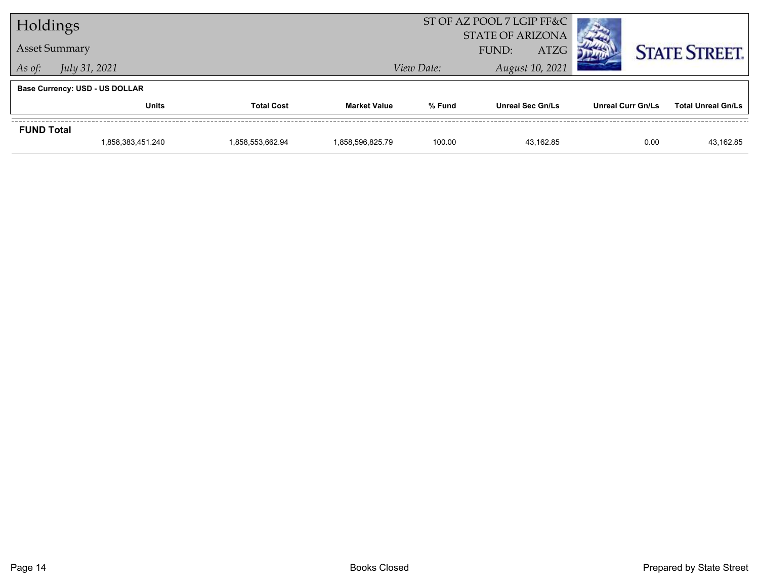| Holdings                |                                       |                   |                     | ST OF AZ POOL 7 LGIP FF&C<br><b>STATE OF ARIZONA</b> |                         |                   |                           |
|-------------------------|---------------------------------------|-------------------|---------------------|------------------------------------------------------|-------------------------|-------------------|---------------------------|
|                         | <b>Asset Summary</b>                  |                   |                     |                                                      | <b>ATZG</b><br>FUND:    |                   | <b>STATE STREET.</b>      |
| July 31, 2021<br>As of: |                                       |                   |                     | View Date:                                           | August 10, 2021         |                   |                           |
|                         | <b>Base Currency: USD - US DOLLAR</b> |                   |                     |                                                      |                         |                   |                           |
|                         | <b>Units</b>                          | <b>Total Cost</b> | <b>Market Value</b> | % Fund                                               | <b>Unreal Sec Gn/Ls</b> | Unreal Curr Gn/Ls | <b>Total Unreal Gn/Ls</b> |
| <b>FUND Total</b>       |                                       |                   |                     |                                                      |                         |                   |                           |
|                         | 1,858,383,451.240                     | 1.858.553.662.94  | 1.858.596.825.79    | 100.00                                               | 43.162.85               | 0.00              | 43,162.85                 |